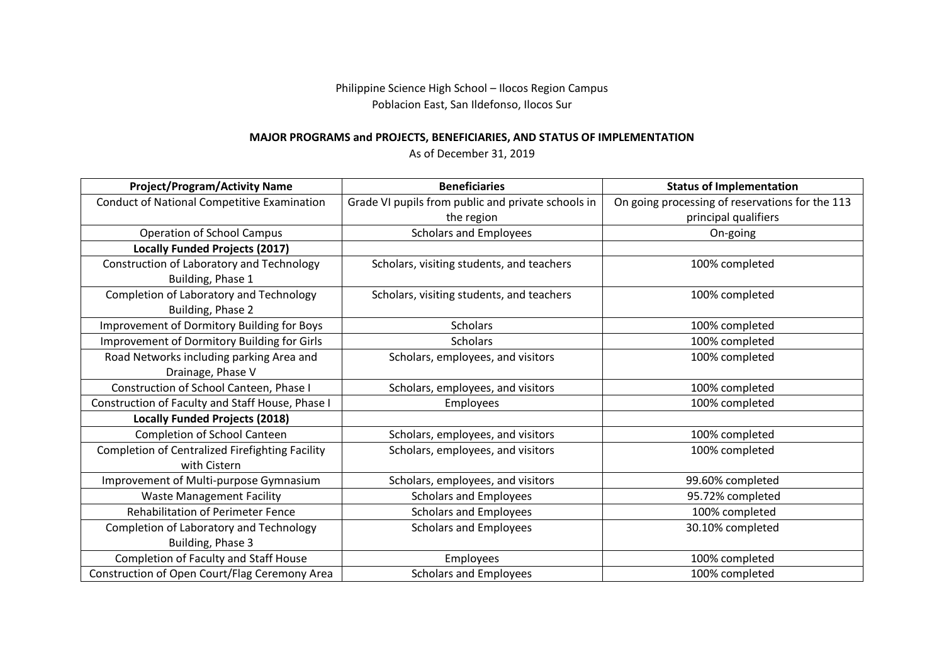Philippine Science High School – Ilocos Region Campus Poblacion East, San Ildefonso, Ilocos Sur

## **MAJOR PROGRAMS and PROJECTS, BENEFICIARIES, AND STATUS OF IMPLEMENTATION**

As of December 31, 2019

| <b>Project/Program/Activity Name</b>               | <b>Beneficiaries</b>                               | <b>Status of Implementation</b>                 |
|----------------------------------------------------|----------------------------------------------------|-------------------------------------------------|
| <b>Conduct of National Competitive Examination</b> | Grade VI pupils from public and private schools in | On going processing of reservations for the 113 |
|                                                    | the region                                         | principal qualifiers                            |
| <b>Operation of School Campus</b>                  | <b>Scholars and Employees</b>                      | On-going                                        |
| <b>Locally Funded Projects (2017)</b>              |                                                    |                                                 |
| Construction of Laboratory and Technology          | Scholars, visiting students, and teachers          | 100% completed                                  |
| Building, Phase 1                                  |                                                    |                                                 |
| Completion of Laboratory and Technology            | Scholars, visiting students, and teachers          | 100% completed                                  |
| Building, Phase 2                                  |                                                    |                                                 |
| Improvement of Dormitory Building for Boys         | <b>Scholars</b>                                    | 100% completed                                  |
| Improvement of Dormitory Building for Girls        | <b>Scholars</b>                                    | 100% completed                                  |
| Road Networks including parking Area and           | Scholars, employees, and visitors                  | 100% completed                                  |
| Drainage, Phase V                                  |                                                    |                                                 |
| Construction of School Canteen, Phase I            | Scholars, employees, and visitors                  | 100% completed                                  |
| Construction of Faculty and Staff House, Phase I   | Employees                                          | 100% completed                                  |
| <b>Locally Funded Projects (2018)</b>              |                                                    |                                                 |
| Completion of School Canteen                       | Scholars, employees, and visitors                  | 100% completed                                  |
| Completion of Centralized Firefighting Facility    | Scholars, employees, and visitors                  | 100% completed                                  |
| with Cistern                                       |                                                    |                                                 |
| Improvement of Multi-purpose Gymnasium             | Scholars, employees, and visitors                  | 99.60% completed                                |
| <b>Waste Management Facility</b>                   | <b>Scholars and Employees</b>                      | 95.72% completed                                |
| <b>Rehabilitation of Perimeter Fence</b>           | <b>Scholars and Employees</b>                      | 100% completed                                  |
| Completion of Laboratory and Technology            | <b>Scholars and Employees</b>                      | 30.10% completed                                |
| Building, Phase 3                                  |                                                    |                                                 |
| <b>Completion of Faculty and Staff House</b>       | <b>Employees</b>                                   | 100% completed                                  |
| Construction of Open Court/Flag Ceremony Area      | <b>Scholars and Employees</b>                      | 100% completed                                  |